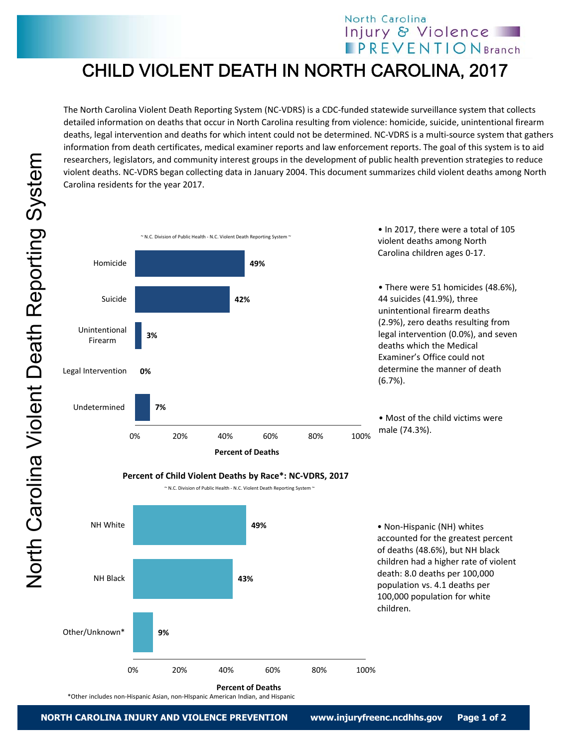## North Carolina Injury & Violence **IPREVENTIONBranch**

## CHILD VIOLENT DEATH IN NORTH CAROLINA, 2017

The North Carolina Violent Death Reporting System (NC‐VDRS) is a CDC‐funded statewide surveillance system that collects detailed information on deaths that occur in North Carolina resulting from violence: homicide, suicide, unintentional firearm deaths, legal intervention and deaths for which intent could not be determined. NC‐VDRS is a multi‐source system that gathers information from death certificates, medical examiner reports and law enforcement reports. The goal of this system is to aid researchers, legislators, and community interest groups in the development of public health prevention strategies to reduce violent deaths. NC‐VDRS began collecting data in January 2004. This document summarizes child violent deaths among North Carolina residents for the year 2017.